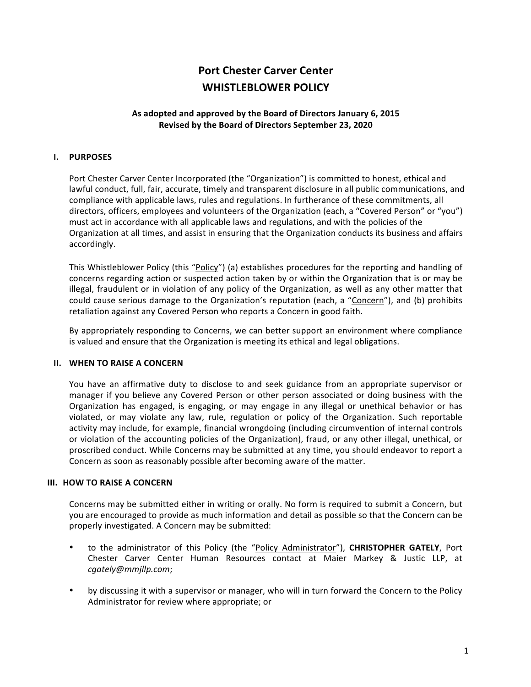# **Port Chester Carver Center WHISTLEBLOWER POLICY**

# As adopted and approved by the Board of Directors January 6, 2015 Revised by the Board of Directors September 23, 2020

## **I. PURPOSES**

Port Chester Carver Center Incorporated (the "Organization") is committed to honest, ethical and lawful conduct, full, fair, accurate, timely and transparent disclosure in all public communications, and compliance with applicable laws, rules and regulations. In furtherance of these commitments, all directors, officers, employees and volunteers of the Organization (each, a "Covered Person" or "you") must act in accordance with all applicable laws and regulations, and with the policies of the Organization at all times, and assist in ensuring that the Organization conducts its business and affairs accordingly.

This Whistleblower Policy (this "Policy") (a) establishes procedures for the reporting and handling of concerns regarding action or suspected action taken by or within the Organization that is or may be illegal, fraudulent or in violation of any policy of the Organization, as well as any other matter that could cause serious damage to the Organization's reputation (each, a "Concern"), and (b) prohibits retaliation against any Covered Person who reports a Concern in good faith.

By appropriately responding to Concerns, we can better support an environment where compliance is valued and ensure that the Organization is meeting its ethical and legal obligations.

#### **II. WHEN TO RAISE A CONCERN**

You have an affirmative duty to disclose to and seek guidance from an appropriate supervisor or manager if you believe any Covered Person or other person associated or doing business with the Organization has engaged, is engaging, or may engage in any illegal or unethical behavior or has violated, or may violate any law, rule, regulation or policy of the Organization. Such reportable activity may include, for example, financial wrongdoing (including circumvention of internal controls or violation of the accounting policies of the Organization), fraud, or any other illegal, unethical, or proscribed conduct. While Concerns may be submitted at any time, you should endeavor to report a Concern as soon as reasonably possible after becoming aware of the matter.

#### **III. HOW TO RAISE A CONCERN**

Concerns may be submitted either in writing or orally. No form is required to submit a Concern, but you are encouraged to provide as much information and detail as possible so that the Concern can be properly investigated. A Concern may be submitted:

- to the administrator of this Policy (the "Policy Administrator"), CHRISTOPHER GATELY, Port Chester Carver Center Human Resources contact at Maier Markey & Justic LLP, at *cgately@mmjllp.com*;
- by discussing it with a supervisor or manager, who will in turn forward the Concern to the Policy Administrator for review where appropriate; or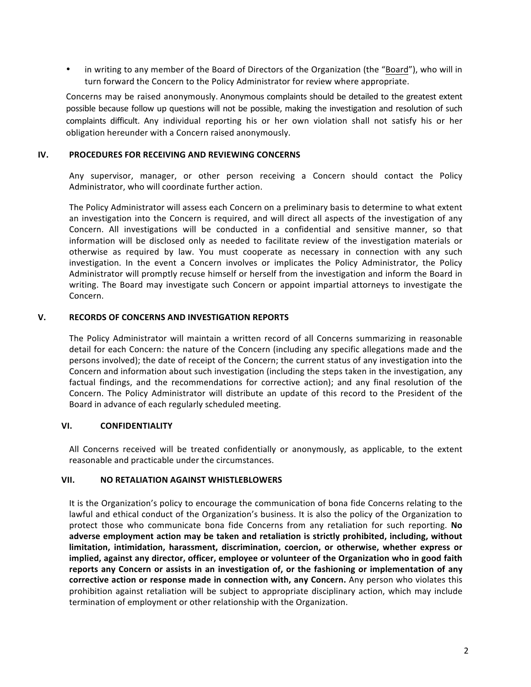• in writing to any member of the Board of Directors of the Organization (the "Board"), who will in turn forward the Concern to the Policy Administrator for review where appropriate.

Concerns may be raised anonymously. Anonymous complaints should be detailed to the greatest extent possible because follow up questions will not be possible, making the investigation and resolution of such complaints difficult. Any individual reporting his or her own violation shall not satisfy his or her obligation hereunder with a Concern raised anonymously.

## **IV. PROCEDURES FOR RECEIVING AND REVIEWING CONCERNS**

Any supervisor, manager, or other person receiving a Concern should contact the Policy Administrator, who will coordinate further action.

The Policy Administrator will assess each Concern on a preliminary basis to determine to what extent an investigation into the Concern is required, and will direct all aspects of the investigation of any Concern. All investigations will be conducted in a confidential and sensitive manner, so that information will be disclosed only as needed to facilitate review of the investigation materials or otherwise as required by law. You must cooperate as necessary in connection with any such investigation. In the event a Concern involves or implicates the Policy Administrator, the Policy Administrator will promptly recuse himself or herself from the investigation and inform the Board in writing. The Board may investigate such Concern or appoint impartial attorneys to investigate the Concern.

# **V. RECORDS OF CONCERNS AND INVESTIGATION REPORTS**

The Policy Administrator will maintain a written record of all Concerns summarizing in reasonable detail for each Concern: the nature of the Concern (including any specific allegations made and the persons involved); the date of receipt of the Concern; the current status of any investigation into the Concern and information about such investigation (including the steps taken in the investigation, any factual findings, and the recommendations for corrective action); and any final resolution of the Concern. The Policy Administrator will distribute an update of this record to the President of the Board in advance of each regularly scheduled meeting.

# **VI. CONFIDENTIALITY**

All Concerns received will be treated confidentially or anonymously, as applicable, to the extent reasonable and practicable under the circumstances.

#### **VII. NO RETALIATION AGAINST WHISTLEBLOWERS**

It is the Organization's policy to encourage the communication of bona fide Concerns relating to the lawful and ethical conduct of the Organization's business. It is also the policy of the Organization to protect those who communicate bona fide Concerns from any retaliation for such reporting. No adverse employment action may be taken and retaliation is strictly prohibited, including, without limitation, intimidation, harassment, discrimination, coercion, or otherwise, whether express or implied, against any director, officer, employee or volunteer of the Organization who in good faith reports any Concern or assists in an investigation of, or the fashioning or implementation of any corrective action or response made in connection with, any Concern. Any person who violates this prohibition against retaliation will be subject to appropriate disciplinary action, which may include termination of employment or other relationship with the Organization.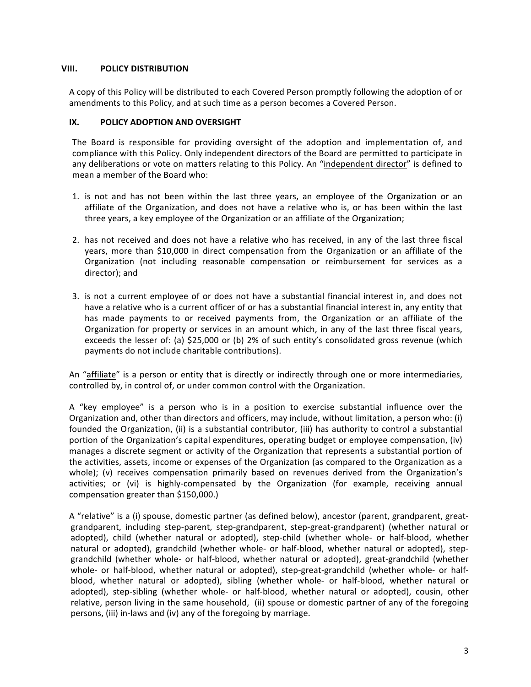#### **VIII. POLICY DISTRIBUTION**

A copy of this Policy will be distributed to each Covered Person promptly following the adoption of or amendments to this Policy, and at such time as a person becomes a Covered Person.

#### **IX. POLICY ADOPTION AND OVERSIGHT**

The Board is responsible for providing oversight of the adoption and implementation of, and compliance with this Policy. Only independent directors of the Board are permitted to participate in any deliberations or vote on matters relating to this Policy. An "independent director" is defined to mean a member of the Board who:

- 1. is not and has not been within the last three years, an employee of the Organization or an affiliate of the Organization, and does not have a relative who is, or has been within the last three years, a key employee of the Organization or an affiliate of the Organization;
- 2. has not received and does not have a relative who has received, in any of the last three fiscal years, more than \$10,000 in direct compensation from the Organization or an affiliate of the Organization (not including reasonable compensation or reimbursement for services as a director); and
- 3. is not a current employee of or does not have a substantial financial interest in, and does not have a relative who is a current officer of or has a substantial financial interest in, any entity that has made payments to or received payments from, the Organization or an affiliate of the Organization for property or services in an amount which, in any of the last three fiscal years, exceeds the lesser of: (a) \$25,000 or (b) 2% of such entity's consolidated gross revenue (which payments do not include charitable contributions).

An "affiliate" is a person or entity that is directly or indirectly through one or more intermediaries, controlled by, in control of, or under common control with the Organization.

A "key employee" is a person who is in a position to exercise substantial influence over the Organization and, other than directors and officers, may include, without limitation, a person who: (i) founded the Organization, (ii) is a substantial contributor, (iii) has authority to control a substantial portion of the Organization's capital expenditures, operating budget or employee compensation, (iv) manages a discrete segment or activity of the Organization that represents a substantial portion of the activities, assets, income or expenses of the Organization (as compared to the Organization as a whole); (v) receives compensation primarily based on revenues derived from the Organization's activities; or (vi) is highly-compensated by the Organization (for example, receiving annual compensation greater than \$150,000.)

A "relative" is a (i) spouse, domestic partner (as defined below), ancestor (parent, grandparent, greatgrandparent, including step-parent, step-grandparent, step-great-grandparent) (whether natural or adopted), child (whether natural or adopted), step-child (whether whole- or half-blood, whether natural or adopted), grandchild (whether whole- or half-blood, whether natural or adopted), stepgrandchild (whether whole- or half-blood, whether natural or adopted), great-grandchild (whether whole- or half-blood, whether natural or adopted), step-great-grandchild (whether whole- or halfblood, whether natural or adopted), sibling (whether whole- or half-blood, whether natural or adopted), step-sibling (whether whole- or half-blood, whether natural or adopted), cousin, other relative, person living in the same household, (ii) spouse or domestic partner of any of the foregoing persons, (iii) in-laws and (iv) any of the foregoing by marriage.